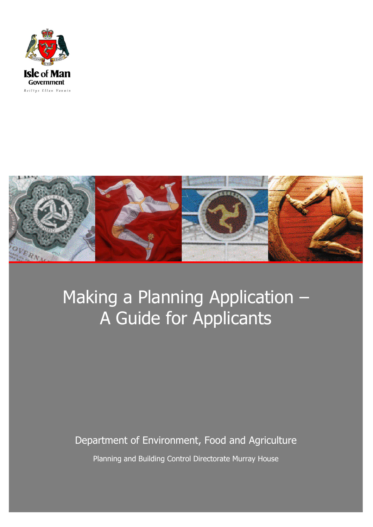



# Making a Planning Application – A Guide for Applicants

# /K\Mfdff

Department of Environment, Food and Agriculture

Planning and Building Control Directorate Murray House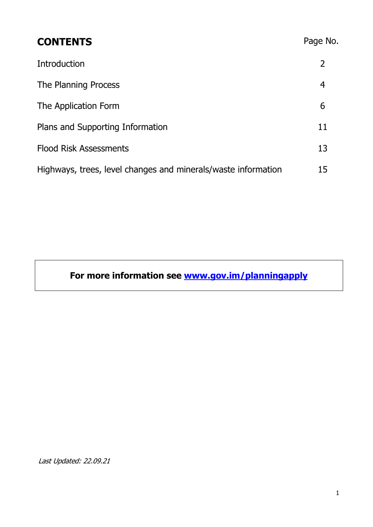| <b>CONTENTS</b>                                               | Page No. |
|---------------------------------------------------------------|----------|
| Introduction                                                  | 2        |
| The Planning Process                                          | 4        |
| The Application Form                                          | 6        |
| Plans and Supporting Information                              | 11       |
| <b>Flood Risk Assessments</b>                                 | 13       |
| Highways, trees, level changes and minerals/waste information | 15       |

# **For more information see www.gov.im/planningapply**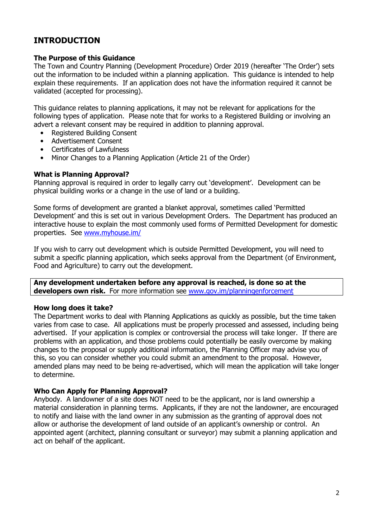### **INTRODUCTION**

#### **The Purpose of this Guidance**

The Town and Country Planning (Development Procedure) Order 2019 (hereafter 'The Order') sets out the information to be included within a planning application. This guidance is intended to help explain these requirements. If an application does not have the information required it cannot be validated (accepted for processing).

This guidance relates to planning applications, it may not be relevant for applications for the following types of application. Please note that for works to a Registered Building or involving an advert a relevant consent may be required in addition to planning approval.

- Registered Building Consent
- Advertisement Consent
- Certificates of Lawfulness
- Minor Changes to a Planning Application (Article 21 of the Order)

#### **What is Planning Approval?**

Planning approval is required in order to legally carry out 'development'. Development can be physical building works or a change in the use of land or a building.

Some forms of development are granted a blanket approval, sometimes called 'Permitted Development' and this is set out in various Development Orders. The Department has produced an interactive house to explain the most commonly used forms of Permitted Development for domestic properties. See www.myhouse.im/

If you wish to carry out development which is outside Permitted Development, you will need to submit a specific planning application, which seeks approval from the Department (of Environment, Food and Agriculture) to carry out the development.

**Any development undertaken before any approval is reached, is done so at the developers own risk.** For more information see www.gov.im/planningenforcement

#### **How long does it take?**

The Department works to deal with Planning Applications as quickly as possible, but the time taken varies from case to case. All applications must be properly processed and assessed, including being advertised. If your application is complex or controversial the process will take longer. If there are problems with an application, and those problems could potentially be easily overcome by making changes to the proposal or supply additional information, the Planning Officer may advise you of this, so you can consider whether you could submit an amendment to the proposal. However, amended plans may need to be being re-advertised, which will mean the application will take longer to determine.

#### **Who Can Apply for Planning Approval?**

Anybody. A landowner of a site does NOT need to be the applicant, nor is land ownership a material consideration in planning terms. Applicants, if they are not the landowner, are encouraged to notify and liaise with the land owner in any submission as the granting of approval does not allow or authorise the development of land outside of an applicant's ownership or control. An appointed agent (architect, planning consultant or surveyor) may submit a planning application and act on behalf of the applicant.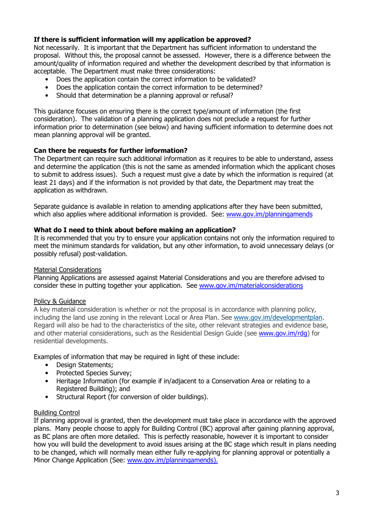#### **If there is sufficient information will my application be approved?**

Not necessarily. It is important that the Department has sufficient information to understand the proposal. Without this, the proposal cannot be assessed. However, there is a difference between the amount/quality of information required and whether the development described by that information is acceptable. The Department must make three considerations:

- Does the application contain the correct information to be validated?
- Does the application contain the correct information to be determined?
- Should that determination be a planning approval or refusal?

This guidance focuses on ensuring there is the correct type/amount of information (the first consideration). The validation of a planning application does not preclude a request for further information prior to determination (see below) and having sufficient information to determine does not mean planning approval will be granted.

#### **Can there be requests for further information?**

The Department can require such additional information as it requires to be able to understand, assess and determine the application (this is not the same as amended information which the applicant choses to submit to address issues). Such a request must give a date by which the information is required (at least 21 days) and if the information is not provided by that date, the Department may treat the application as withdrawn.

Separate guidance is available in relation to amending applications after they have been submitted, which also applies where additional information is provided. See: www.gov.im/planningamends

#### **What do I need to think about before making an application?**

It is recommended that you try to ensure your application contains not only the information required to meet the minimum standards for validation, but any other information, to avoid unnecessary delays (or possibly refusal) post-validation.

#### Material Considerations

Planning Applications are assessed against Material Considerations and you are therefore advised to consider these in putting together your application. See www.gov.im/materialconsiderations

#### Policy & Guidance

A key material consideration is whether or not the proposal is in accordance with planning policy, including the land use zoning in the relevant Local or Area Plan. See www.gov.im/developmentplan. Regard will also be had to the characteristics of the site, other relevant strategies and evidence base, and other material considerations, such as the Residential Design Guide (see www.gov.im/rdg) for residential developments.

Examples of information that may be required in light of these include:

- Design Statements;
- Protected Species Survey;
- Heritage Information (for example if in/adjacent to a Conservation Area or relating to a Registered Building); and
- Structural Report (for conversion of older buildings).

#### Building Control

If planning approval is granted, then the development must take place in accordance with the approved plans. Many people choose to apply for Building Control (BC) approval after gaining planning approval, as BC plans are often more detailed. This is perfectly reasonable, however it is important to consider how you will build the development to avoid issues arising at the BC stage which result in plans needing to be changed, which will normally mean either fully re-applying for planning approval or potentially a Minor Change Application (See: www.gov.im/planningamends).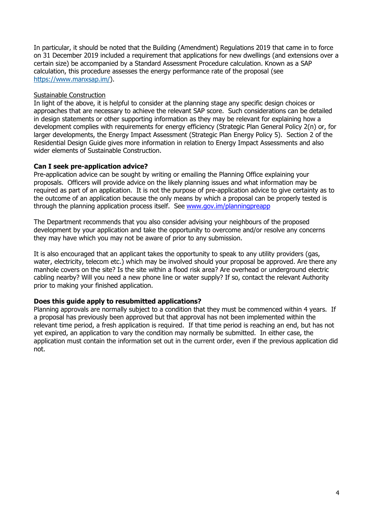In particular, it should be noted that the Building (Amendment) Regulations 2019 that came in to force on 31 December 2019 included a requirement that applications for new dwellings (and extensions over a certain size) be accompanied by a Standard Assessment Procedure calculation. Known as a SAP calculation, this procedure assesses the energy performance rate of the proposal (see https://www.manxsap.im/).

#### Sustainable Construction

In light of the above, it is helpful to consider at the planning stage any specific design choices or approaches that are necessary to achieve the relevant SAP score. Such considerations can be detailed in design statements or other supporting information as they may be relevant for explaining how a development complies with requirements for energy efficiency (Strategic Plan General Policy 2(n) or, for larger developments, the Energy Impact Assessment (Strategic Plan Energy Policy 5). Section 2 of the Residential Design Guide gives more information in relation to Energy Impact Assessments and also wider elements of Sustainable Construction.

#### **Can I seek pre-application advice?**

Pre-application advice can be sought by writing or emailing the Planning Office explaining your proposals. Officers will provide advice on the likely planning issues and what information may be required as part of an application. It is not the purpose of pre-application advice to give certainty as to the outcome of an application because the only means by which a proposal can be properly tested is through the planning application process itself. See www.gov.im/planningpreapp

The Department recommends that you also consider advising your neighbours of the proposed development by your application and take the opportunity to overcome and/or resolve any concerns they may have which you may not be aware of prior to any submission.

It is also encouraged that an applicant takes the opportunity to speak to any utility providers (gas, water, electricity, telecom etc.) which may be involved should your proposal be approved. Are there any manhole covers on the site? Is the site within a flood risk area? Are overhead or underground electric cabling nearby? Will you need a new phone line or water supply? If so, contact the relevant Authority prior to making your finished application.

#### **Does this guide apply to resubmitted applications?**

Planning approvals are normally subject to a condition that they must be commenced within 4 years. If a proposal has previously been approved but that approval has not been implemented within the relevant time period, a fresh application is required. If that time period is reaching an end, but has not yet expired, an application to vary the condition may normally be submitted. In either case, the application must contain the information set out in the current order, even if the previous application did not.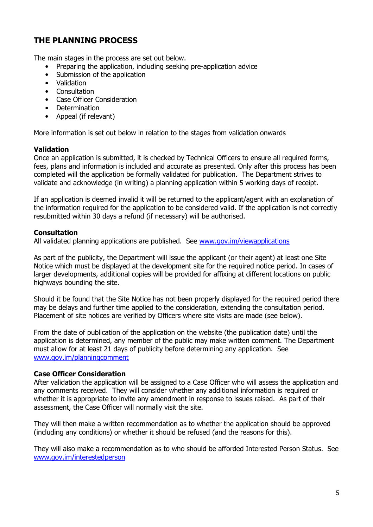## **THE PLANNING PROCESS**

The main stages in the process are set out below.

- Preparing the application, including seeking pre-application advice
- Submission of the application
- Validation
- Consultation
- Case Officer Consideration
- Determination
- Appeal (if relevant)

More information is set out below in relation to the stages from validation onwards

#### **Validation**

Once an application is submitted, it is checked by Technical Officers to ensure all required forms, fees, plans and information is included and accurate as presented. Only after this process has been completed will the application be formally validated for publication. The Department strives to validate and acknowledge (in writing) a planning application within 5 working days of receipt.

If an application is deemed invalid it will be returned to the applicant/agent with an explanation of the information required for the application to be considered valid. If the application is not correctly resubmitted within 30 days a refund (if necessary) will be authorised.

#### **Consultation**

All validated planning applications are published. See www.gov.im/viewapplications

As part of the publicity, the Department will issue the applicant (or their agent) at least one Site Notice which must be displayed at the development site for the required notice period. In cases of larger developments, additional copies will be provided for affixing at different locations on public highways bounding the site.

Should it be found that the Site Notice has not been properly displayed for the required period there may be delays and further time applied to the consideration, extending the consultation period. Placement of site notices are verified by Officers where site visits are made (see below).

From the date of publication of the application on the website (the publication date) until the application is determined, any member of the public may make written comment. The Department must allow for at least 21 days of publicity before determining any application. See www.gov.im/planningcomment

#### **Case Officer Consideration**

After validation the application will be assigned to a Case Officer who will assess the application and any comments received. They will consider whether any additional information is required or whether it is appropriate to invite any amendment in response to issues raised. As part of their assessment, the Case Officer will normally visit the site.

They will then make a written recommendation as to whether the application should be approved (including any conditions) or whether it should be refused (and the reasons for this).

They will also make a recommendation as to who should be afforded Interested Person Status. See www.gov.im/interestedperson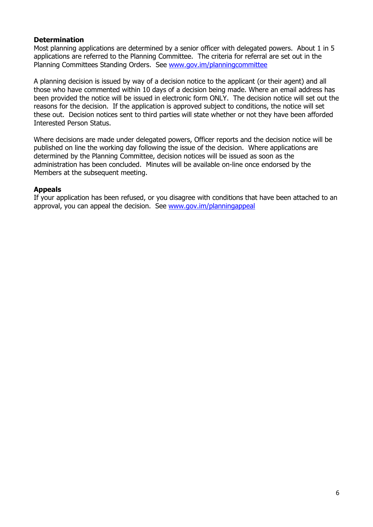#### **Determination**

Most planning applications are determined by a senior officer with delegated powers. About 1 in 5 applications are referred to the Planning Committee. The criteria for referral are set out in the Planning Committees Standing Orders. See www.gov.im/planningcommittee

A planning decision is issued by way of a decision notice to the applicant (or their agent) and all those who have commented within 10 days of a decision being made. Where an email address has been provided the notice will be issued in electronic form ONLY. The decision notice will set out the reasons for the decision. If the application is approved subject to conditions, the notice will set these out. Decision notices sent to third parties will state whether or not they have been afforded Interested Person Status.

Where decisions are made under delegated powers, Officer reports and the decision notice will be published on line the working day following the issue of the decision. Where applications are determined by the Planning Committee, decision notices will be issued as soon as the administration has been concluded. Minutes will be available on-line once endorsed by the Members at the subsequent meeting.

#### **Appeals**

If your application has been refused, or you disagree with conditions that have been attached to an approval, you can appeal the decision. See www.gov.im/planningappeal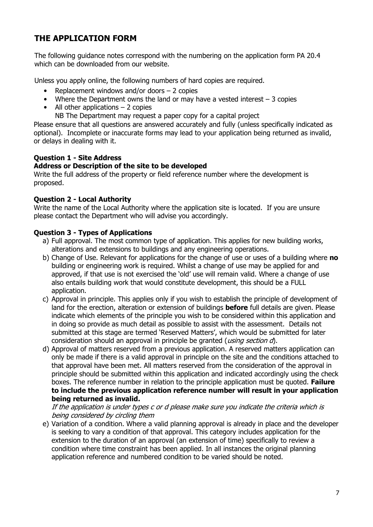# **THE APPLICATION FORM**

The following guidance notes correspond with the numbering on the application form PA 20.4 which can be downloaded from our website.

Unless you apply online, the following numbers of hard copies are required.

- Replacement windows and/or doors  $-2$  copies
- Where the Department owns the land or may have a vested interest  $-3$  copies
- All other applications  $-2$  copies
	- NB The Department may request a paper copy for a capital project

Please ensure that all questions are answered accurately and fully (unless specifically indicated as optional). Incomplete or inaccurate forms may lead to your application being returned as invalid, or delays in dealing with it.

#### **Question 1 - Site Address**

#### **Address or Description of the site to be developed**

Write the full address of the property or field reference number where the development is proposed.

#### **Question 2 - Local Authority**

Write the name of the Local Authority where the application site is located. If you are unsure please contact the Department who will advise you accordingly.

#### **Question 3 - Types of Applications**

- a) Full approval. The most common type of application. This applies for new building works, alterations and extensions to buildings and any engineering operations.
- b) Change of Use. Relevant for applications for the change of use or uses of a building where **no** building or engineering work is required. Whilst a change of use may be applied for and approved, if that use is not exercised the 'old' use will remain valid. Where a change of use also entails building work that would constitute development, this should be a FULL application.
- c) Approval in principle. This applies only if you wish to establish the principle of development of land for the erection, alteration or extension of buildings **before** full details are given. Please indicate which elements of the principle you wish to be considered within this application and in doing so provide as much detail as possible to assist with the assessment. Details not submitted at this stage are termed 'Reserved Matters', which would be submitted for later consideration should an approval in principle be granted (*using section d*).
- d) Approval of matters reserved from a previous application. A reserved matters application can only be made if there is a valid approval in principle on the site and the conditions attached to that approval have been met. All matters reserved from the consideration of the approval in principle should be submitted within this application and indicated accordingly using the check boxes. The reference number in relation to the principle application must be quoted. **Failure to include the previous application reference number will result in your application being returned as invalid.**

If the application is under types c or d please make sure you indicate the criteria which is being considered by circling them

e) Variation of a condition. Where a valid planning approval is already in place and the developer is seeking to vary a condition of that approval. This category includes application for the extension to the duration of an approval (an extension of time) specifically to review a condition where time constraint has been applied. In all instances the original planning application reference and numbered condition to be varied should be noted.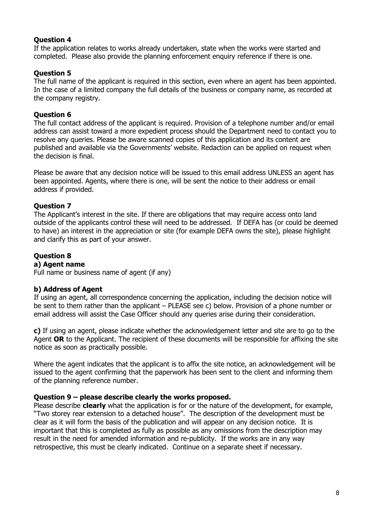#### **Question 4**

If the application relates to works already undertaken, state when the works were started and completed. Please also provide the planning enforcement enquiry reference if there is one.

#### **Question 5**

The full name of the applicant is required in this section, even where an agent has been appointed. In the case of a limited company the full details of the business or company name, as recorded at the company registry.

#### **Question 6**

The full contact address of the applicant is required. Provision of a telephone number and/or email address can assist toward a more expedient process should the Department need to contact you to resolve any queries. Please be aware scanned copies of this application and its content are published and available via the Governments' website. Redaction can be applied on request when the decision is final.

Please be aware that any decision notice will be issued to this email address UNLESS an agent has been appointed. Agents, where there is one, will be sent the notice to their address or email address if provided.

#### **Question 7**

The Applicant's interest in the site. If there are obligations that may require access onto land outside of the applicants control these will need to be addressed. If DEFA has (or could be deemed to have) an interest in the appreciation or site (for example DEFA owns the site), please highlight and clarify this as part of your answer.

#### **Question 8**

#### **a) Agent name**

Full name or business name of agent (if any)

#### **b) Address of Agent**

If using an agent, all correspondence concerning the application, including the decision notice will be sent to them rather than the applicant – PLEASE see c) below. Provision of a phone number or email address will assist the Case Officer should any queries arise during their consideration.

**c)** If using an agent, please indicate whether the acknowledgement letter and site are to go to the Agent **OR** to the Applicant. The recipient of these documents will be responsible for affixing the site notice as soon as practically possible.

Where the agent indicates that the applicant is to affix the site notice, an acknowledgement will be issued to the agent confirming that the paperwork has been sent to the client and informing them of the planning reference number.

#### **Question 9 – please describe clearly the works proposed.**

Please describe **clearly** what the application is for or the nature of the development, for example, "Two storey rear extension to a detached house". The description of the development must be clear as it will form the basis of the publication and will appear on any decision notice. It is important that this is completed as fully as possible as any omissions from the description may result in the need for amended information and re-publicity. If the works are in any way retrospective, this must be clearly indicated. Continue on a separate sheet if necessary.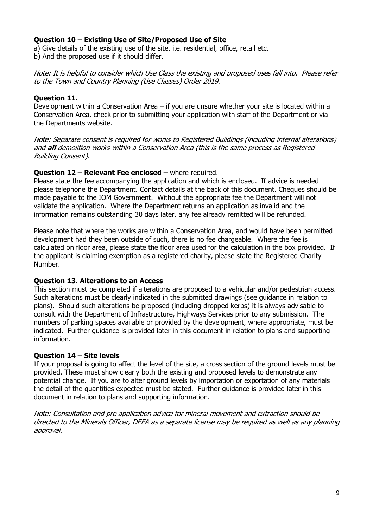#### **Question 10 – Existing Use of Site/Proposed Use of Site**

a) Give details of the existing use of the site, i.e. residential, office, retail etc. b) And the proposed use if it should differ.

Note: It is helpful to consider which Use Class the existing and proposed uses fall into. Please refer to the Town and Country Planning (Use Classes) Order 2019.

#### **Question 11.**

Development within a Conservation Area – if you are unsure whether your site is located within a Conservation Area, check prior to submitting your application with staff of the Department or via the Departments website.

Note: Separate consent is required for works to Registered Buildings (including internal alterations) and **all** demolition works within a Conservation Area (this is the same process as Registered Building Consent).

#### **Question 12 – Relevant Fee enclosed –** where required.

Please state the fee accompanying the application and which is enclosed. If advice is needed please telephone the Department. Contact details at the back of this document. Cheques should be made payable to the IOM Government. Without the appropriate fee the Department will not validate the application. Where the Department returns an application as invalid and the information remains outstanding 30 days later, any fee already remitted will be refunded.

Please note that where the works are within a Conservation Area, and would have been permitted development had they been outside of such, there is no fee chargeable. Where the fee is calculated on floor area, please state the floor area used for the calculation in the box provided. If the applicant is claiming exemption as a registered charity, please state the Registered Charity Number.

#### **Question 13. Alterations to an Access**

This section must be completed if alterations are proposed to a vehicular and/or pedestrian access. Such alterations must be clearly indicated in the submitted drawings (see guidance in relation to plans). Should such alterations be proposed (including dropped kerbs) it is always advisable to consult with the Department of Infrastructure, Highways Services prior to any submission. The numbers of parking spaces available or provided by the development, where appropriate, must be indicated. Further guidance is provided later in this document in relation to plans and supporting information.

#### **Question 14 – Site levels**

If your proposal is going to affect the level of the site, a cross section of the ground levels must be provided. These must show clearly both the existing and proposed levels to demonstrate any potential change. If you are to alter ground levels by importation or exportation of any materials the detail of the quantities expected must be stated. Further guidance is provided later in this document in relation to plans and supporting information.

Note: Consultation and pre application advice for mineral movement and extraction should be directed to the Minerals Officer, DEFA as a separate license may be required as well as any planning approval.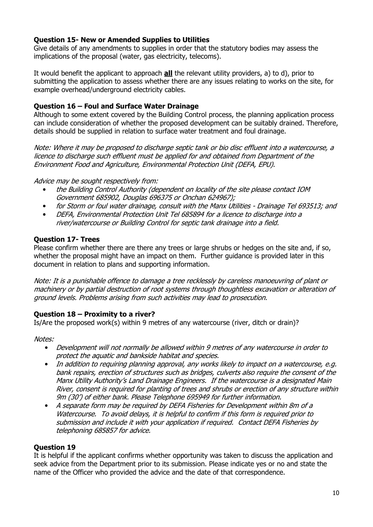#### **Question 15- New or Amended Supplies to Utilities**

Give details of any amendments to supplies in order that the statutory bodies may assess the implications of the proposal (water, gas electricity, telecoms).

It would benefit the applicant to approach **all** the relevant utility providers, a) to d), prior to submitting the application to assess whether there are any issues relating to works on the site, for example overhead/underground electricity cables.

#### **Question 16 – Foul and Surface Water Drainage**

Although to some extent covered by the Building Control process, the planning application process can include consideration of whether the proposed development can be suitably drained. Therefore, details should be supplied in relation to surface water treatment and foul drainage.

Note: Where it may be proposed to discharge septic tank or bio disc effluent into a watercourse, a licence to discharge such effluent must be applied for and obtained from Department of the Environment Food and Agriculture, Environmental Protection Unit (DEFA, EPU).

#### Advice may be sought respectively from:

- the Building Control Authority (dependent on locality of the site please contact IOM Government 685902, Douglas 696375 or Onchan 624967);
- for Storm or foul water drainage, consult with the Manx Utilities Drainage Tel 693513; and
- DEFA, Environmental Protection Unit Tel 685894 for a licence to discharge into a river/watercourse or Building Control for septic tank drainage into a field.

#### **Question 17- Trees**

Please confirm whether there are there any trees or large shrubs or hedges on the site and, if so, whether the proposal might have an impact on them. Further guidance is provided later in this document in relation to plans and supporting information.

Note: It is a punishable offence to damage a tree recklessly by careless manoeuvring of plant or machinery or by partial destruction of root systems through thoughtless excavation or alteration of ground levels. Problems arising from such activities may lead to prosecution.

#### **Question 18 – Proximity to a river?**

Is/Are the proposed work(s) within 9 metres of any watercourse (river, ditch or drain)?

#### Notes:

- Development will not normally be allowed within 9 metres of any watercourse in order to protect the aquatic and bankside habitat and species.
- In addition to requiring planning approval, any works likely to impact on a watercourse, e.g. bank repairs, erection of structures such as bridges, culverts also require the consent of the Manx Utility Authority's Land Drainage Engineers. If the watercourse is a designated Main River, consent is required for planting of trees and shrubs or erection of any structure within 9m (30') of either bank. Please Telephone 695949 for further information.
- A separate form may be required by DEFA Fisheries for Development within 8m of a Watercourse. To avoid delays, it is helpful to confirm if this form is required prior to submission and include it with your application if required. Contact DEFA Fisheries by telephoning 685857 for advice.

#### **Question 19**

It is helpful if the applicant confirms whether opportunity was taken to discuss the application and seek advice from the Department prior to its submission. Please indicate yes or no and state the name of the Officer who provided the advice and the date of that correspondence.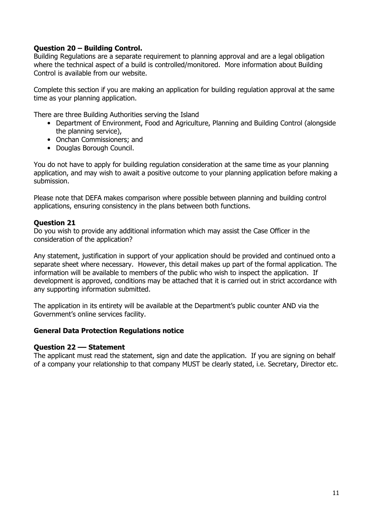#### **Question 20 – Building Control.**

Building Regulations are a separate requirement to planning approval and are a legal obligation where the technical aspect of a build is controlled/monitored. More information about Building Control is available from our website.

Complete this section if you are making an application for building regulation approval at the same time as your planning application.

There are three Building Authorities serving the Island

- Department of Environment, Food and Agriculture, Planning and Building Control (alongside) the planning service),
- Onchan Commissioners; and
- Douglas Borough Council.

You do not have to apply for building regulation consideration at the same time as your planning application, and may wish to await a positive outcome to your planning application before making a submission.

Please note that DEFA makes comparison where possible between planning and building control applications, ensuring consistency in the plans between both functions.

#### **Question 21**

Do you wish to provide any additional information which may assist the Case Officer in the consideration of the application?

Any statement, justification in support of your application should be provided and continued onto a separate sheet where necessary. However, this detail makes up part of the formal application. The information will be available to members of the public who wish to inspect the application. If development is approved, conditions may be attached that it is carried out in strict accordance with any supporting information submitted.

The application in its entirety will be available at the Department's public counter AND via the Government's online services facility.

#### **General Data Protection Regulations notice**

#### **Question 22 –– Statement**

The applicant must read the statement, sign and date the application. If you are signing on behalf of a company your relationship to that company MUST be clearly stated, i.e. Secretary, Director etc.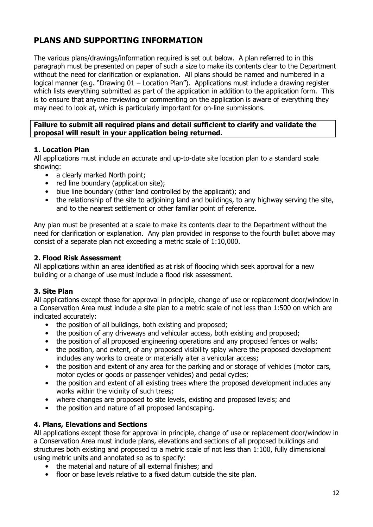# **PLANS AND SUPPORTING INFORMATION**

The various plans/drawings/information required is set out below. A plan referred to in this paragraph must be presented on paper of such a size to make its contents clear to the Department without the need for clarification or explanation. All plans should be named and numbered in a logical manner (e.g. "Drawing 01 – Location Plan"). Applications must include a drawing register which lists everything submitted as part of the application in addition to the application form. This is to ensure that anyone reviewing or commenting on the application is aware of everything they may need to look at, which is particularly important for on-line submissions.

#### **Failure to submit all required plans and detail sufficient to clarify and validate the proposal will result in your application being returned.**

#### **1. Location Plan**

All applications must include an accurate and up-to-date site location plan to a standard scale showing:

- a clearly marked North point;
- red line boundary (application site);
- blue line boundary (other land controlled by the applicant); and
- the relationship of the site to adjoining land and buildings, to any highway serving the site, and to the nearest settlement or other familiar point of reference.

Any plan must be presented at a scale to make its contents clear to the Department without the need for clarification or explanation. Any plan provided in response to the fourth bullet above may consist of a separate plan not exceeding a metric scale of 1:10,000.

#### **2. Flood Risk Assessment**

All applications within an area identified as at risk of flooding which seek approval for a new building or a change of use must include a flood risk assessment.

#### **3. Site Plan**

All applications except those for approval in principle, change of use or replacement door/window in a Conservation Area must include a site plan to a metric scale of not less than 1:500 on which are indicated accurately:

- the position of all buildings, both existing and proposed;
- the position of any driveways and vehicular access, both existing and proposed;
- the position of all proposed engineering operations and any proposed fences or walls;
- the position, and extent, of any proposed visibility splay where the proposed development includes any works to create or materially alter a vehicular access;
- the position and extent of any area for the parking and or storage of vehicles (motor cars, motor cycles or goods or passenger vehicles) and pedal cycles;
- the position and extent of all existing trees where the proposed development includes any works within the vicinity of such trees;
- where changes are proposed to site levels, existing and proposed levels; and
- the position and nature of all proposed landscaping.

#### **4. Plans, Elevations and Sections**

All applications except those for approval in principle, change of use or replacement door/window in a Conservation Area must include plans, elevations and sections of all proposed buildings and structures both existing and proposed to a metric scale of not less than 1:100, fully dimensional using metric units and annotated so as to specify:

- the material and nature of all external finishes; and
- floor or base levels relative to a fixed datum outside the site plan.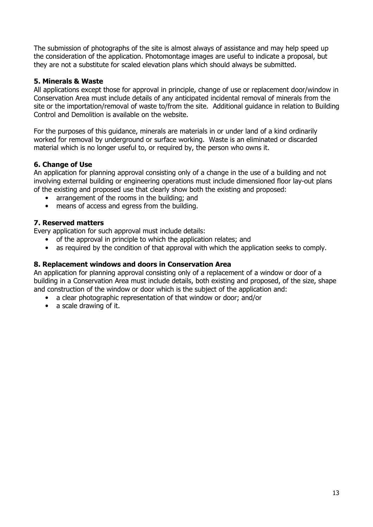The submission of photographs of the site is almost always of assistance and may help speed up the consideration of the application. Photomontage images are useful to indicate a proposal, but they are not a substitute for scaled elevation plans which should always be submitted.

#### **5. Minerals & Waste**

All applications except those for approval in principle, change of use or replacement door/window in Conservation Area must include details of any anticipated incidental removal of minerals from the site or the importation/removal of waste to/from the site. Additional guidance in relation to Building Control and Demolition is available on the website.

For the purposes of this guidance, minerals are materials in or under land of a kind ordinarily worked for removal by underground or surface working. Waste is an eliminated or discarded material which is no longer useful to, or required by, the person who owns it.

#### **6. Change of Use**

An application for planning approval consisting only of a change in the use of a building and not involving external building or engineering operations must include dimensioned floor lay-out plans of the existing and proposed use that clearly show both the existing and proposed:

- arrangement of the rooms in the building; and
- means of access and egress from the building.

#### **7. Reserved matters**

Every application for such approval must include details:

- of the approval in principle to which the application relates; and
- as required by the condition of that approval with which the application seeks to comply.

#### **8. Replacement windows and doors in Conservation Area**

An application for planning approval consisting only of a replacement of a window or door of a building in a Conservation Area must include details, both existing and proposed, of the size, shape and construction of the window or door which is the subject of the application and:

- a clear photographic representation of that window or door; and/or
- a scale drawing of it.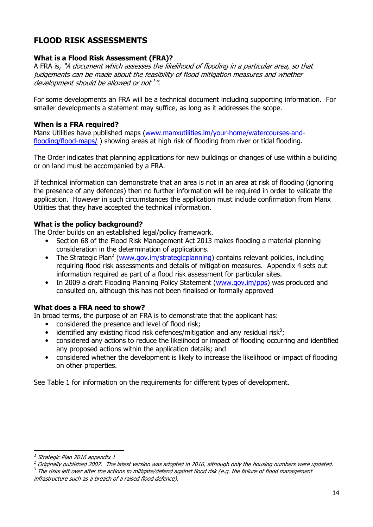# **FLOOD RISK ASSESSMENTS**

#### **What is a Flood Risk Assessment (FRA)?**

A FRA is, "A document which assesses the likelihood of flooding in a particular area, so that judgements can be made about the feasibility of flood mitigation measures and whether development should be allowed or not 1".

For some developments an FRA will be a technical document including supporting information. For smaller developments a statement may suffice, as long as it addresses the scope.

#### **When is a FRA required?**

Manx Utilities have published maps (www.manxutilities.im/your-home/watercourses-andflooding/flood-maps/ ) showing areas at high risk of flooding from river or tidal flooding.

The Order indicates that planning applications for new buildings or changes of use within a building or on land must be accompanied by a FRA.

If technical information can demonstrate that an area is not in an area at risk of flooding (ignoring the presence of any defences) then no further information will be required in order to validate the application. However in such circumstances the application must include confirmation from Manx Utilities that they have accepted the technical information.

#### **What is the policy background?**

The Order builds on an established legal/policy framework.

- Section 68 of the Flood Risk Management Act 2013 makes flooding a material planning consideration in the determination of applications.
- The Strategic Plan<sup>2</sup> (www.gov.im/strategicplanning) contains relevant policies, including requiring flood risk assessments and details of mitigation measures. Appendix 4 sets out information required as part of a flood risk assessment for particular sites.
- In 2009 a draft Flooding Planning Policy Statement (www.gov.im/pps) was produced and consulted on, although this has not been finalised or formally approved

#### **What does a FRA need to show?**

In broad terms, the purpose of an FRA is to demonstrate that the applicant has:

- considered the presence and level of flood risk;
- identified any existing flood risk defences/mitigation and any residual risk<sup>3</sup>;
- considered any actions to reduce the likelihood or impact of flooding occurring and identified any proposed actions within the application details; and
- considered whether the development is likely to increase the likelihood or impact of flooding on other properties.

See Table 1 for information on the requirements for different types of development.

The risks left over after the actions to mitigate/defend against flood risk (e.g. the failure of flood management infrastructure such as a breach of a raised flood defence).

<sup>1</sup> Strategic Plan 2016 appendix 1

<sup>2</sup> Originally published 2007. The latest version was adopted in 2016, although only the housing numbers were updated. 3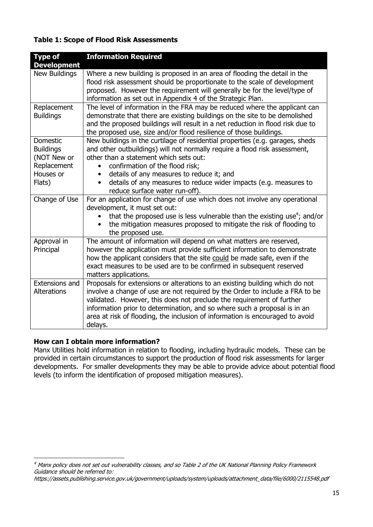#### **Table 1: Scope of Flood Risk Assessments**

| <b>Type of</b><br><b>Development</b>                                                     | <b>Information Required</b>                                                                                                                                                                                                                                                                                                                                                                                    |
|------------------------------------------------------------------------------------------|----------------------------------------------------------------------------------------------------------------------------------------------------------------------------------------------------------------------------------------------------------------------------------------------------------------------------------------------------------------------------------------------------------------|
| New Buildings                                                                            | Where a new building is proposed in an area of flooding the detail in the<br>flood risk assessment should be proportionate to the scale of development<br>proposed. However the requirement will generally be for the level/type of<br>information as set out in Appendix 4 of the Strategic Plan.                                                                                                             |
| Replacement<br><b>Buildings</b>                                                          | The level of information in the FRA may be reduced where the applicant can<br>demonstrate that there are existing buildings on the site to be demolished<br>and the proposed buildings will result in a net reduction in flood risk due to<br>the proposed use, size and/or flood resilience of those buildings.                                                                                               |
| <b>Domestic</b><br><b>Buildings</b><br>(NOT New or<br>Replacement<br>Houses or<br>Flats) | New buildings in the curtilage of residential properties (e.g. garages, sheds<br>and other outbuildings) will not normally require a flood risk assessment,<br>other than a statement which sets out:<br>confirmation of the flood risk;<br>details of any measures to reduce it; and<br>$\bullet$<br>details of any measures to reduce wider impacts (e.g. measures to<br>reduce surface water run-off).      |
| Change of Use                                                                            | For an application for change of use which does not involve any operational<br>development, it must set out:<br>that the proposed use is less vulnerable than the existing use <sup>4</sup> ; and/or<br>the mitigation measures proposed to mitigate the risk of flooding to<br>$\bullet$<br>the proposed use.                                                                                                 |
| Approval in<br>Principal                                                                 | The amount of information will depend on what matters are reserved,<br>however the application must provide sufficient information to demonstrate<br>how the applicant considers that the site could be made safe, even if the<br>exact measures to be used are to be confirmed in subsequent reserved<br>matters applications.                                                                                |
| Extensions and<br>Alterations                                                            | Proposals for extensions or alterations to an existing building which do not<br>involve a change of use are not required by the Order to include a FRA to be<br>validated. However, this does not preclude the requirement of further<br>information prior to determination, and so where such a proposal is in an<br>area at risk of flooding, the inclusion of information is encouraged to avoid<br>delays. |

#### **How can I obtain more information?**

Manx Utilities hold information in relation to flooding, including hydraulic models. These can be provided in certain circumstances to support the production of flood risk assessments for larger developments. For smaller developments they may be able to provide advice about potential flood levels (to inform the identification of proposed mitigation measures).

<sup>4</sup> Manx policy does not set out vulnerability classes, and so Table 2 of the UK National Planning Policy Framework Guidance should be referred to:

https://assets.publishing.service.gov.uk/government/uploads/system/uploads/attachment\_data/file/6000/2115548.pdf